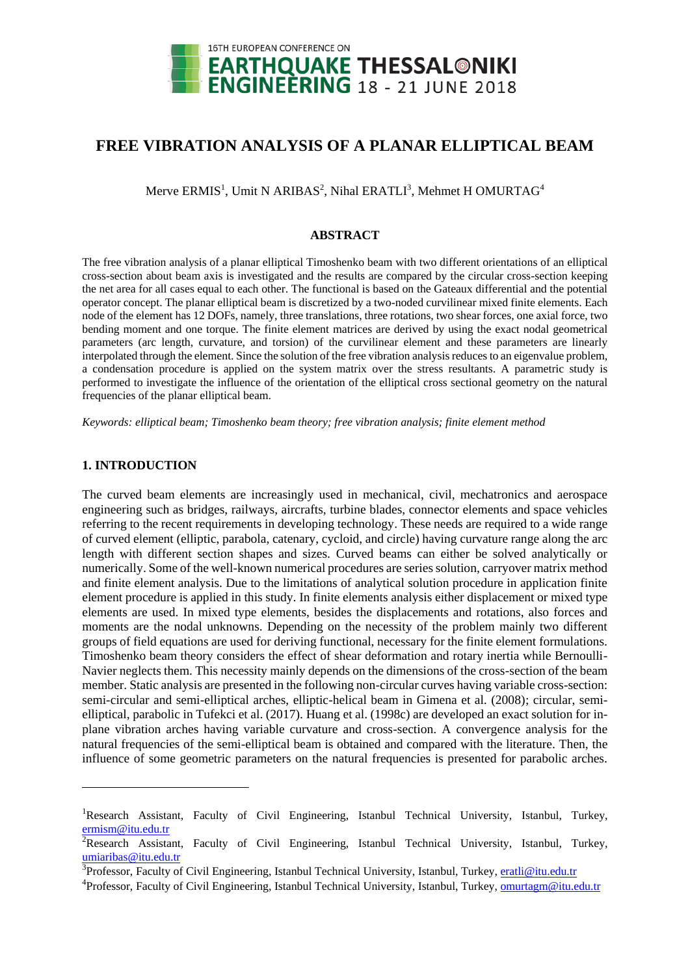

# **FREE VIBRATION ANALYSIS OF A PLANAR ELLIPTICAL BEAM**

Merve  $\text{ERMIS}^1$ , Umit N ARIBAS<sup>2</sup>, Nihal ERATLI<sup>3</sup>, Mehmet H OMURTAG<sup>4</sup>

# **ABSTRACT**

The free vibration analysis of a planar elliptical Timoshenko beam with two different orientations of an elliptical cross-section about beam axis is investigated and the results are compared by the circular cross-section keeping the net area for all cases equal to each other. The functional is based on the Gateaux differential and the potential operator concept. The planar elliptical beam is discretized by a two-noded curvilinear mixed finite elements. Each node of the element has 12 DOFs, namely, three translations, three rotations, two shear forces, one axial force, two bending moment and one torque. The finite element matrices are derived by using the exact nodal geometrical parameters (arc length, curvature, and torsion) of the curvilinear element and these parameters are linearly interpolated through the element. Since the solution of the free vibration analysis reduces to an eigenvalue problem, a condensation procedure is applied on the system matrix over the stress resultants. A parametric study is performed to investigate the influence of the orientation of the elliptical cross sectional geometry on the natural frequencies of the planar elliptical beam.

*Keywords: elliptical beam; Timoshenko beam theory; free vibration analysis; finite element method*

# **1. INTRODUCTION**

-

The curved beam elements are increasingly used in mechanical, civil, mechatronics and aerospace engineering such as bridges, railways, aircrafts, turbine blades, connector elements and space vehicles referring to the recent requirements in developing technology. These needs are required to a wide range of curved element (elliptic, parabola, catenary, cycloid, and circle) having curvature range along the arc length with different section shapes and sizes. Curved beams can either be solved analytically or numerically. Some of the well-known numerical procedures are series solution, carryover matrix method and finite element analysis. Due to the limitations of analytical solution procedure in application finite element procedure is applied in this study. In finite elements analysis either displacement or mixed type elements are used. In mixed type elements, besides the displacements and rotations, also forces and moments are the nodal unknowns. Depending on the necessity of the problem mainly two different groups of field equations are used for deriving functional, necessary for the finite element formulations. Timoshenko beam theory considers the effect of shear deformation and rotary inertia while Bernoulli-Navier neglects them. This necessity mainly depends on the dimensions of the cross-section of the beam member. Static analysis are presented in the following non-circular curves having variable cross-section: semi-circular and semi-elliptical arches, elliptic-helical beam in Gimena et al. (2008); circular, semielliptical, parabolic in Tufekci et al. (2017). Huang et al. (1998c) are developed an exact solution for inplane vibration arches having variable curvature and cross-section. A convergence analysis for the natural frequencies of the semi-elliptical beam is obtained and compared with the literature. Then, the influence of some geometric parameters on the natural frequencies is presented for parabolic arches.

<sup>&</sup>lt;sup>1</sup>Research Assistant, Faculty of Civil Engineering, Istanbul Technical University, Istanbul, Turkey, [ermism@itu.edu.tr](mailto:ermism@itu.edu.tr)

<sup>&</sup>lt;sup>2</sup>Research Assistant, Faculty of Civil Engineering, Istanbul Technical University, Istanbul, Turkey, [umiaribas@itu.edu.tr](mailto:umiaribas@itu.edu.tr)

<sup>&</sup>lt;sup>3</sup>Professor, Faculty of Civil Engineering, Istanbul Technical University, Istanbul, Turkey, **eratli@itu.edu.tr** 

<sup>&</sup>lt;sup>4</sup>Professor, Faculty of Civil Engineering, Istanbul Technical University, Istanbul, Turkey, **omurtagm@itu.edu.tr**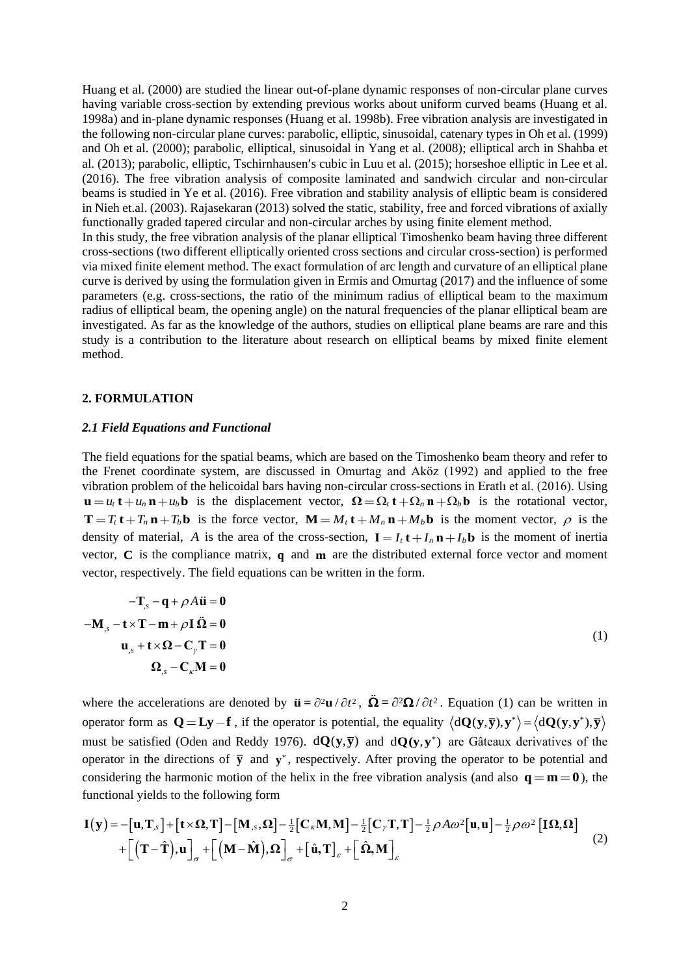Huang et al. (2000) are studied the linear out-of-plane dynamic responses of non-circular plane curves having variable cross-section by extending previous works about uniform curved beams (Huang et al. 1998a) and in-plane dynamic responses (Huang et al. 1998b). Free vibration analysis are investigated in the following non-circular plane curves: parabolic, elliptic, sinusoidal, catenary types in Oh et al. (1999) and Oh et al. (2000); parabolic, elliptical, sinusoidal in Yang et al. (2008); elliptical arch in Shahba et al. (2013); parabolic, elliptic, Tschirnhausen's cubic in Luu et al. (2015); horseshoe elliptic in Lee et al. (2016). The free vibration analysis of composite laminated and sandwich circular and non-circular beams is studied in Ye et al. (2016). Free vibration and stability analysis of elliptic beam is considered in Nieh et.al. (2003). Rajasekaran (2013) solved the static, stability, free and forced vibrations of axially functionally graded tapered circular and non-circular arches by using finite element method. In this study, the free vibration analysis of the planar elliptical Timoshenko beam having three different cross-sections (two different elliptically oriented cross sections and circular cross-section) is performed via mixed finite element method. The exact formulation of arc length and curvature of an elliptical plane curve is derived by using the formulation given in Ermis and Omurtag (2017) and the influence of some parameters (e.g. cross-sections, the ratio of the minimum radius of elliptical beam to the maximum radius of elliptical beam, the opening angle) on the natural frequencies of the planar elliptical beam are investigated. As far as the knowledge of the authors, studies on elliptical plane beams are rare and this study is a contribution to the literature about research on elliptical beams by mixed finite element method.

### **2. FORMULATION**

# *2.1 Field Equations and Functional*

The field equations for the spatial beams, which are based on the Timoshenko beam theory and refer to the Frenet coordinate system, are discussed in Omurtag and Aköz (1992) and applied to the free vibration problem of the helicoidal bars having non-circular cross-sections in Eratlı et al. (2016). Using  $u = u_t t + u_n n + u_b b$  is the displacement vector,  $\Omega = \Omega_t t + \Omega_n n + \Omega_b b$  is the rotational vector,  $\mathbf{T} = T_t \mathbf{t} + T_n \mathbf{n} + T_b \mathbf{b}$  is the force vector,  $\mathbf{M} = M_t \mathbf{t} + M_n \mathbf{n} + M_b \mathbf{b}$  is the moment vector,  $\rho$  is the density of material, A is the area of the cross-section,  $I = I_t t + I_n n + I_b b$  is the moment of inertia vector, **<sup>C</sup>** is the compliance matrix, **<sup>q</sup>** and **m** are the distributed external force vector and moment vector, respectively. The field equations can be written in the form.

$$
-T_{s} - q + \rho A \ddot{u} = 0
$$
  

$$
-M_{s} - t \times T - m + \rho I \dot{\Omega} = 0
$$
  

$$
u_{s} + t \times \Omega - C_{\gamma} T = 0
$$
  

$$
\Omega_{s} - C_{\kappa} M = 0
$$
 (1)

where the accelerations are denoted by  $\mathbf{\ddot{u}} = \frac{\partial^2 \mathbf{u}}{\partial t^2}$ ,  $\mathbf{\Omega} = \frac{\partial^2 \mathbf{\Omega}}{\partial t^2}$ . Equation (1) can be written in operator form as  $Q = Ly - f$ , if the operator is potential, the equality  $\langle dQ(y, \bar{y}), y^* \rangle = \langle dQ(y, y^*), \bar{y} \rangle$ must be satisfied (Oden and Reddy 1976).  $d\mathbf{Q}(\mathbf{y},\mathbf{\bar{y}})$  and  $d\mathbf{Q}(\mathbf{y},\mathbf{y}^*)$  are Gâteaux derivatives of the operator in the directions of  $\bar{y}$  and  $y^*$ , respectively. After proving the operator to be potential and considering the harmonic motion of the helix in the free vibration analysis (and also  $q = m = 0$ ), the functional yields to the following form

$$
\mathbf{I}(\mathbf{y}) = -[\mathbf{u}, \mathbf{T}_{s}] + [\mathbf{t} \times \mathbf{\Omega}, \mathbf{T}] - [\mathbf{M}_{s}, \mathbf{\Omega}] - \frac{1}{2} [\mathbf{C}_{k} \mathbf{M}, \mathbf{M}] - \frac{1}{2} [\mathbf{C}_{\gamma} \mathbf{T}, \mathbf{T}] - \frac{1}{2} \rho A \omega^{2} [\mathbf{u}, \mathbf{u}] - \frac{1}{2} \rho \omega^{2} [\mathbf{I} \mathbf{\Omega}, \mathbf{\Omega}] + \left[ (\mathbf{T} - \hat{\mathbf{T}}), \mathbf{u} \right]_{\sigma} + \left[ (\mathbf{M} - \hat{\mathbf{M}}), \mathbf{\Omega} \right]_{\sigma} + \left[ \hat{\mathbf{u}}, \mathbf{T} \right]_{\varepsilon} + \left[ \hat{\mathbf{\Omega}}, \mathbf{M} \right]_{\varepsilon}
$$
\n(2)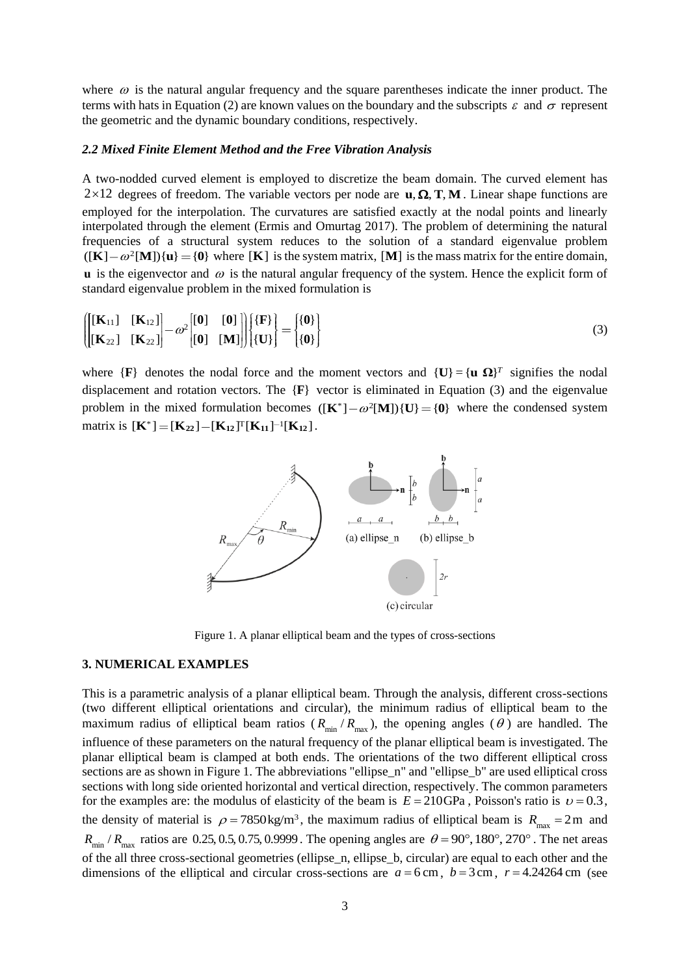where  $\omega$  is the natural angular frequency and the square parentheses indicate the inner product. The terms with hats in Equation (2) are known values on the boundary and the subscripts  $\varepsilon$  and  $\sigma$  represent the geometric and the dynamic boundary conditions, respectively.

#### *2.2 Mixed Finite Element Method and the Free Vibration Analysis*

A two-nodded curved element is employed to discretize the beam domain. The curved element has  $2 \times 12$  degrees of freedom. The variable vectors per node are  $\mathbf{u}, \mathbf{\Omega}, \mathbf{T}, \mathbf{M}$ . Linear shape functions are employed for the interpolation. The curvatures are satisfied exactly at the nodal points and linearly interpolated through the element (Ermis and Omurtag 2017). The problem of determining the natural frequencies of a structural system reduces to the solution of a standard eigenvalue problem  $((K) - \omega^2[M])$  $\{u\} = \{0\}$  where [K] is the system matrix, [M] is the mass matrix for the entire domain,  $\bf{u}$  is the eigenvector and  $\omega$  is the natural angular frequency of the system. Hence the explicit form of standard eigenvalue problem in the mixed formulation is

$$
\left\{\begin{bmatrix}\begin{bmatrix}\mathbf{K}_{11}\end{bmatrix} & \begin{bmatrix}\mathbf{K}_{12}\end{bmatrix}\end{bmatrix} - \omega^2 \begin{bmatrix}\begin{bmatrix}\mathbf{0}\end{bmatrix} & \begin{bmatrix}\mathbf{0}\end{bmatrix}\end{bmatrix}\end{bmatrix}\begin{bmatrix}\begin{bmatrix}\mathbf{F}\end{bmatrix}\end{bmatrix}\end{bmatrix} = \begin{bmatrix}\begin{bmatrix}\mathbf{0}\end{bmatrix}\end{bmatrix}\right\}
$$
\n
$$
\left(\begin{bmatrix}\mathbf{K}_{22}\end{bmatrix} & \begin{bmatrix}\mathbf{K}_{22}\end{bmatrix}\end{bmatrix} - \omega^2 \begin{bmatrix}\begin{bmatrix}\mathbf{0}\end{bmatrix} & \begin{bmatrix}\mathbf{0}\end{bmatrix}\end{bmatrix}\right\}\left\{\mathbf{U}\right\} = \begin{bmatrix}\begin{bmatrix}\mathbf{0}\end{bmatrix}\end{bmatrix} \tag{3}
$$

where  $\{F\}$  denotes the nodal force and the moment vectors and  $\{U\} = \{u \Omega\}^T$  signifies the nodal displacement and rotation vectors. The  ${F}$  vector is eliminated in Equation (3) and the eigenvalue problem in the mixed formulation becomes  $([\mathbf{K}^*] - \omega^2[\mathbf{M}]) {\{\mathbf{U}\} = {\{\mathbf{0}\}}$  where the condensed system  $\text{matrix is } [\mathbf{K}^*] = [\mathbf{K}_{22}] - [\mathbf{K}_{12}]^T [\mathbf{K}_{11}]^{-1} [\mathbf{K}_{12}]$ .



Figure 1. A planar elliptical beam and the types of cross-sections

## **3. NUMERICAL EXAMPLES**

This is a parametric analysis of a planar elliptical beam. Through the analysis, different cross-sections (two different elliptical orientations and circular), the minimum radius of elliptical beam to the maximum radius of elliptical beam ratios ( $R_{min}/R_{max}$ ), the opening angles ( $\theta$ ) are handled. The influence of these parameters on the natural frequency of the planar elliptical beam is investigated. The planar elliptical beam is clamped at both ends. The orientations of the two different elliptical cross sections are as shown in Figure 1. The abbreviations "ellipse\_n" and "ellipse\_b" are used elliptical cross sections with long side oriented horizontal and vertical direction, respectively. The common parameters for the examples are: the modulus of elasticity of the beam is  $E = 210GPa$ , Poisson's ratio is  $v = 0.3$ , the density of material is  $\rho = 7850 \text{ kg/m}^3$ , the maximum radius of elliptical beam is  $R_{\text{max}} = 2 \text{ m}$  and  $R_{\min}$  /  $R_{\max}$  ratios are 0.25, 0.5, 0.75, 0.9999. The opening angles are  $\theta = 90^\circ, 180^\circ, 270^\circ$ . The net areas of the all three cross-sectional geometries (ellipse\_n, ellipse\_b, circular) are equal to each other and the dimensions of the elliptical and circular cross-sections are  $a = 6$  cm,  $b = 3$  cm,  $r = 4.24264$  cm (see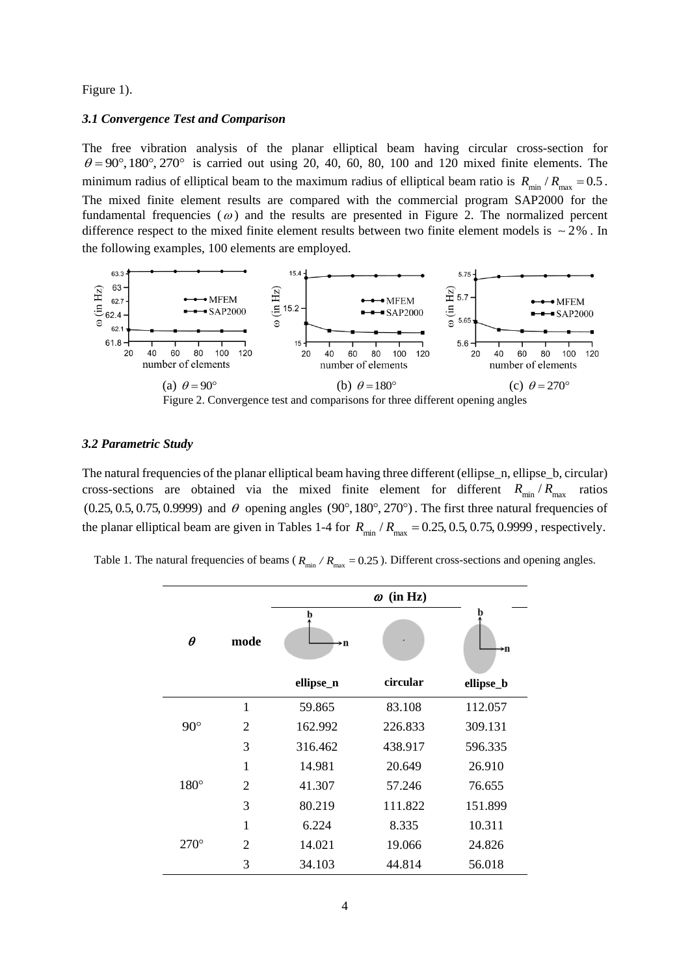Figure 1).

#### *3.1 Convergence Test and Comparison*

The free vibration analysis of the planar elliptical beam having circular cross-section for  $\theta = 90^\circ, 180^\circ, 270^\circ$  is carried out using 20, 40, 60, 80, 100 and 120 mixed finite elements. The minimum radius of elliptical beam to the maximum radius of elliptical beam ratio is  $R_{min}/R_{max} = 0.5$ . The mixed finite element results are compared with the commercial program SAP2000 for the fundamental frequencies  $\omega$  and the results are presented in Figure 2. The normalized percent difference respect to the mixed finite element results between two finite element models is  $\sim 2\%$ . In the following examples, 100 elements are employed.



### *3.2 Parametric Study*

The natural frequencies of the planar elliptical beam having three different (ellipse\_n, ellipse\_b, circular) cross-sections are obtained via the mixed finite element for different  $R_{\text{min}}/R_{\text{max}}$ ratios  $(0.25, 0.5, 0.75, 0.9999)$  and  $\theta$  opening angles  $(90^{\circ}, 180^{\circ}, 270^{\circ})$ . The first three natural frequencies of the planar elliptical beam are given in Tables 1-4 for  $R_{\text{min}}/R_{\text{max}} = 0.25, 0.5, 0.75, 0.9999$ , respectively.

| Table 1. The natural frequencies of beams ( $R_{\text{min}}$ / $R_{\text{max}}$ = 0.25). Different cross-sections and opening angles. |  |  |  |  |  |  |
|---------------------------------------------------------------------------------------------------------------------------------------|--|--|--|--|--|--|
|---------------------------------------------------------------------------------------------------------------------------------------|--|--|--|--|--|--|

|              |                | $\omega$ (in Hz) |          |           |  |
|--------------|----------------|------------------|----------|-----------|--|
| $\theta$     | mode           | h<br>→n          |          | →n        |  |
|              |                | ellipse_n        | circular | ellipse_b |  |
|              | 1              | 59.865           | 83.108   | 112.057   |  |
| $90^{\circ}$ | $\overline{2}$ | 162.992          | 226.833  | 309.131   |  |
|              | 3              | 316.462          | 438.917  | 596.335   |  |
|              | $\mathbf{1}$   | 14.981           | 20.649   | 26.910    |  |
| $180^\circ$  | $\overline{2}$ | 41.307           | 57.246   | 76.655    |  |
|              | 3              | 80.219           | 111.822  | 151.899   |  |
|              | 1              | 6.224            | 8.335    | 10.311    |  |
| $270^\circ$  | $\overline{2}$ | 14.021           | 19.066   | 24.826    |  |
|              | 3              | 34.103           | 44.814   | 56.018    |  |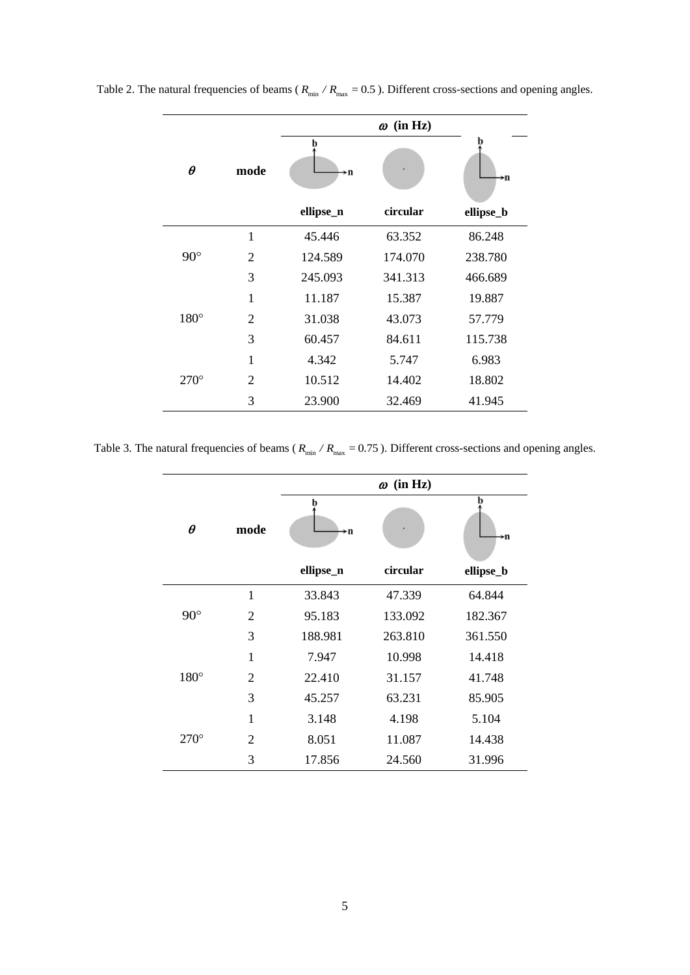|             |                | $\omega$ (in Hz) |          |           |  |
|-------------|----------------|------------------|----------|-----------|--|
| $\theta$    | mode           | →n               |          | →n        |  |
|             |                | ellipse_n        | circular | ellipse_b |  |
|             | 1              | 45.446           | 63.352   | 86.248    |  |
| $90^\circ$  | $\overline{2}$ | 124.589          | 174.070  | 238.780   |  |
|             | 3              | 245.093          | 341.313  | 466.689   |  |
|             | $\mathbf{1}$   | 11.187           | 15.387   | 19.887    |  |
| $180^\circ$ | $\overline{2}$ | 31.038           | 43.073   | 57.779    |  |
|             | 3              | 60.457           | 84.611   | 115.738   |  |
|             | 1              | 4.342            | 5.747    | 6.983     |  |
| $270^\circ$ | $\overline{2}$ | 10.512           | 14.402   | 18.802    |  |
|             | 3              | 23.900           | 32.469   | 41.945    |  |

Table 2. The natural frequencies of beams ( $R_{min} / R_{max} = 0.5$ ). Different cross-sections and opening angles.

Table 3. The natural frequencies of beams ( $R_{min} / R_{max} = 0.75$ ). Different cross-sections and opening angles.

|             |                |           | $\omega$ (in Hz) |           |
|-------------|----------------|-----------|------------------|-----------|
| $\theta$    | mode           | h<br>→n   |                  | →n        |
|             |                | ellipse_n | circular         | ellipse_b |
|             | $\mathbf{1}$   | 33.843    | 47.339           | 64.844    |
| $90^\circ$  | $\overline{2}$ | 95.183    | 133.092          | 182.367   |
|             | 3              | 188.981   | 263.810          | 361.550   |
|             | $\mathbf{1}$   | 7.947     | 10.998           | 14.418    |
| $180^\circ$ | $\overline{2}$ | 22.410    | 31.157           | 41.748    |
|             | 3              | 45.257    | 63.231           | 85.905    |
|             | $\mathbf{1}$   | 3.148     | 4.198            | 5.104     |
| $270^\circ$ | $\overline{2}$ | 8.051     | 11.087           | 14.438    |
|             | 3              | 17.856    | 24.560           | 31.996    |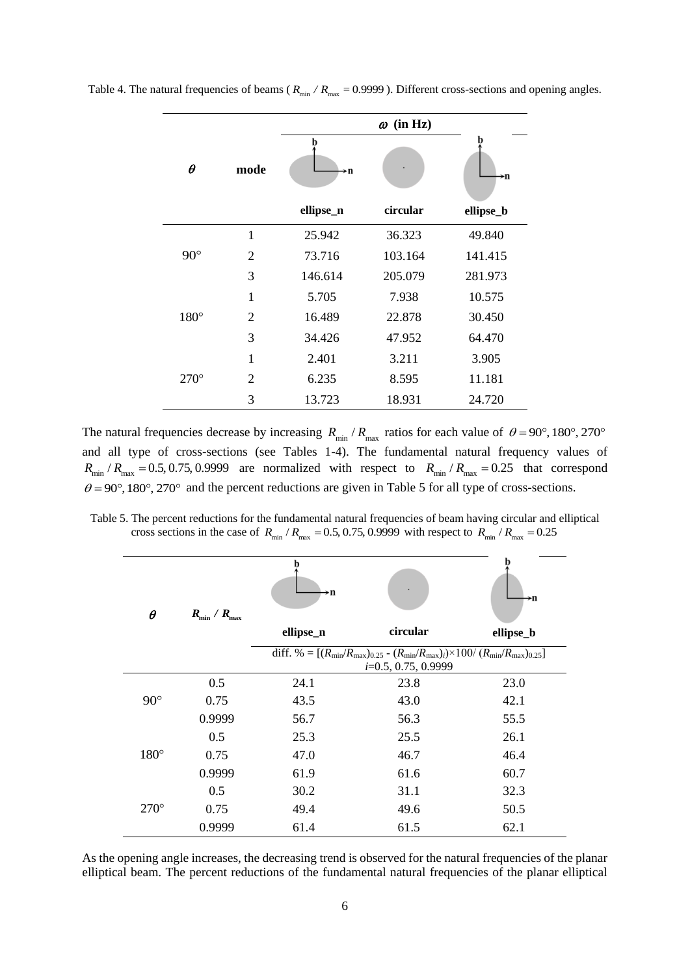|              |                | $\omega$ (in Hz) |          |           |  |
|--------------|----------------|------------------|----------|-----------|--|
| $\theta$     | mode           | →n               |          | →n        |  |
|              |                | ellipse_n        | circular | ellipse_b |  |
|              | 1              | 25.942           | 36.323   | 49.840    |  |
| $90^{\circ}$ | $\overline{2}$ | 73.716           | 103.164  | 141.415   |  |
|              | 3              | 146.614          | 205.079  | 281.973   |  |
|              | $\mathbf{1}$   | 5.705            | 7.938    | 10.575    |  |
| $180^\circ$  | $\overline{2}$ | 16.489           | 22.878   | 30.450    |  |
|              | 3              | 34.426           | 47.952   | 64.470    |  |
|              | 1              | 2.401            | 3.211    | 3.905     |  |
| $270^\circ$  | $\overline{2}$ | 6.235            | 8.595    | 11.181    |  |
|              | 3              | 13.723           | 18.931   | 24.720    |  |

Table 4. The natural frequencies of beams ( $R_{min} / R_{max} = 0.9999$ ). Different cross-sections and opening angles.

The natural frequencies decrease by increasing  $R_{min}/R_{max}$  ratios for each value of  $\theta = 90^\circ, 180^\circ, 270^\circ$ and all type of cross-sections (see Tables 1-4). The fundamental natural frequency values of  $R_{min}/R_{max} = 0.5, 0.75, 0.9999$  are normalized with respect to  $R_{min}/R_{max} = 0.25$  that correspond  $\theta = 90^{\circ}, 180^{\circ}, 270^{\circ}$  and the percent reductions are given in Table 5 for all type of cross-sections.

Table 5. The percent reductions for the fundamental natural frequencies of beam having circular and elliptical cross sections in the case of  $R_{min}/R_{max} = 0.5, 0.75, 0.9999$  with respect to  $R_{min}/R_{max} = 0.25$ 

| $\theta$    | $R_{\min} / R_{\max}$ | ⊁n        |                                                                                                                                    |           |
|-------------|-----------------------|-----------|------------------------------------------------------------------------------------------------------------------------------------|-----------|
|             |                       | ellipse_n | circular                                                                                                                           | ellipse_b |
|             |                       |           | diff. % = $[(R_{\min}/R_{\max})_{0.25} - (R_{\min}/R_{\max})_i) \times 100 / (R_{\min}/R_{\max})_{0.25}]$<br>$i=0.5, 0.75, 0.9999$ |           |
|             | 0.5                   | 24.1      | 23.8                                                                                                                               | 23.0      |
| $90^\circ$  | 0.75                  | 43.5      | 43.0                                                                                                                               | 42.1      |
|             | 0.9999                | 56.7      | 56.3                                                                                                                               | 55.5      |
|             | 0.5                   | 25.3      | 25.5                                                                                                                               | 26.1      |
| $180^\circ$ | 0.75                  | 47.0      | 46.7                                                                                                                               | 46.4      |
|             | 0.9999                | 61.9      | 61.6                                                                                                                               | 60.7      |
|             | 0.5                   | 30.2      | 31.1                                                                                                                               | 32.3      |
| $270^\circ$ | 0.75                  | 49.4      | 49.6                                                                                                                               | 50.5      |
|             | 0.9999                | 61.4      | 61.5                                                                                                                               | 62.1      |

As the opening angle increases, the decreasing trend is observed for the natural frequencies of the planar elliptical beam. The percent reductions of the fundamental natural frequencies of the planar elliptical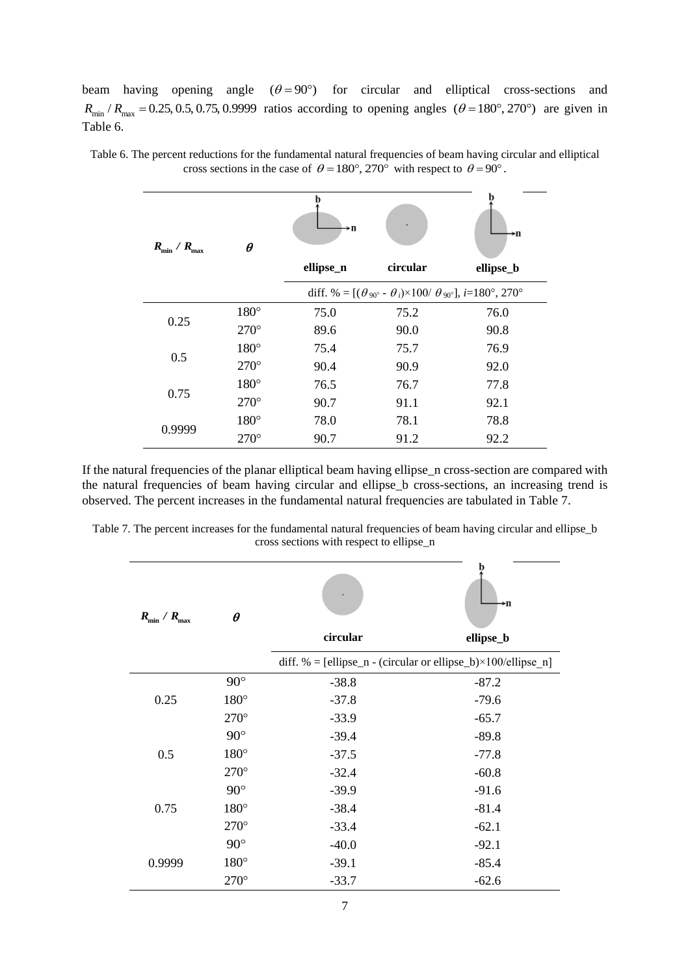beam having opening angle  $(\theta = 90^{\circ})$  for circular and elliptical cross-sections and beam having opening angle  $(\theta = 90)$  for circular and emplical cross-sections and  $R_{min}/R_{max} = 0.25, 0.5, 0.75, 0.9999$  ratios according to opening angles  $(\theta = 180^\circ, 270^\circ)$  are given in Table 6.

| $R_{\min} / R_{\max}$ | $\theta$    | →n        |                                                                                                        | ≻n        |
|-----------------------|-------------|-----------|--------------------------------------------------------------------------------------------------------|-----------|
|                       |             | ellipse_n | circular                                                                                               | ellipse_b |
|                       |             |           | diff. % = $[(\theta_{90^{\circ}} - \theta_i) \times 100 / \theta_{90^{\circ}}]$ , <i>i</i> =180°, 270° |           |
| 0.25                  | $180^\circ$ | 75.0      | 75.2                                                                                                   | 76.0      |
|                       | $270^\circ$ | 89.6      | 90.0                                                                                                   | 90.8      |
| 0.5                   | $180^\circ$ | 75.4      | 75.7                                                                                                   | 76.9      |
|                       | $270^\circ$ | 90.4      | 90.9                                                                                                   | 92.0      |
|                       | $180^\circ$ | 76.5      | 76.7                                                                                                   | 77.8      |
| 0.75                  | $270^\circ$ | 90.7      | 91.1                                                                                                   | 92.1      |
| 0.9999                | $180^\circ$ | 78.0      | 78.1                                                                                                   | 78.8      |
|                       | $270^\circ$ | 90.7      | 91.2                                                                                                   | 92.2      |

Table 6. The percent reductions for the fundamental natural frequencies of beam having circular and elliptical cross sections in the case of  $\theta = 180^\circ, 270^\circ$  with respect to  $\theta = 90^\circ$ .

If the natural frequencies of the planar elliptical beam having ellipse\_n cross-section are compared with the natural frequencies of beam having circular and ellipse\_b cross-sections, an increasing trend is observed. The percent increases in the fundamental natural frequencies are tabulated in Table 7.

Table 7. The percent increases for the fundamental natural frequencies of beam having circular and ellipse\_b cross sections with respect to ellipse\_n

| $R_{\min} / R_{\max}$ | $\theta$    | circular | →n<br>ellipse_b                                                        |
|-----------------------|-------------|----------|------------------------------------------------------------------------|
|                       |             |          | diff. % = [ellipse_n - (circular or ellipse_b) $\times$ 100/ellipse n] |
|                       | $90^\circ$  | $-38.8$  | $-87.2$                                                                |
| 0.25                  | $180^\circ$ | $-37.8$  | $-79.6$                                                                |
|                       | $270^\circ$ | $-33.9$  | $-65.7$                                                                |
|                       | $90^\circ$  | $-39.4$  | $-89.8$                                                                |
| 0.5                   | $180^\circ$ | $-37.5$  | $-77.8$                                                                |
|                       | $270^\circ$ | $-32.4$  | $-60.8$                                                                |
|                       | $90^\circ$  | $-39.9$  | $-91.6$                                                                |
| 0.75                  | $180^\circ$ | $-38.4$  | $-81.4$                                                                |
|                       | $270^\circ$ | $-33.4$  | $-62.1$                                                                |
|                       | $90^\circ$  | $-40.0$  | $-92.1$                                                                |
| 0.9999                | $180^\circ$ | $-39.1$  | $-85.4$                                                                |
|                       | $270^\circ$ | $-33.7$  | $-62.6$                                                                |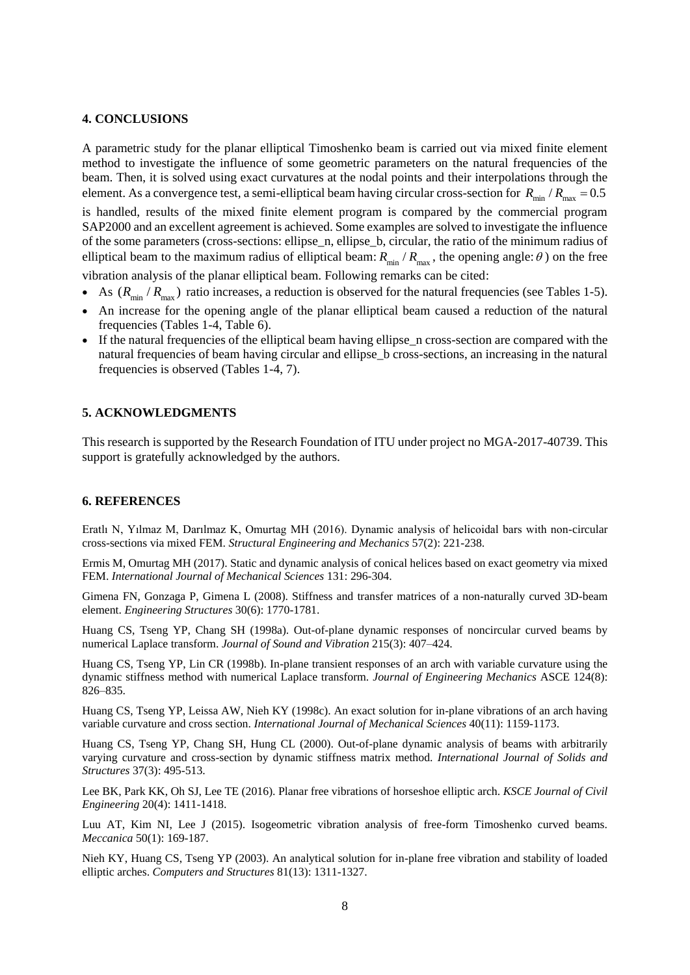### **4. CONCLUSIONS**

A parametric study for the planar elliptical Timoshenko beam is carried out via mixed finite element method to investigate the influence of some geometric parameters on the natural frequencies of the beam. Then, it is solved using exact curvatures at the nodal points and their interpolations through the element. As a convergence test, a semi-elliptical beam having circular cross-section for  $R_{\text{min}}/R_{\text{max}} = 0.5$ 

is handled, results of the mixed finite element program is compared by the commercial program SAP2000 and an excellent agreement is achieved. Some examples are solved to investigate the influence of the some parameters (cross-sections: ellipse\_n, ellipse\_b, circular, the ratio of the minimum radius of elliptical beam to the maximum radius of elliptical beam:  $R_{min}/R_{max}$ , the opening angle:  $\theta$ ) on the free vibration analysis of the planar elliptical beam. Following remarks can be cited:

- As  $(R_{\min}/R_{\max})$  ratio increases, a reduction is observed for the natural frequencies (see Tables 1-5).
- An increase for the opening angle of the planar elliptical beam caused a reduction of the natural frequencies (Tables 1-4, Table 6).
- If the natural frequencies of the elliptical beam having ellipse\_n cross-section are compared with the natural frequencies of beam having circular and ellipse\_b cross-sections, an increasing in the natural frequencies is observed (Tables 1-4, 7).

## **5. ACKNOWLEDGMENTS**

This research is supported by the Research Foundation of ITU under project no MGA-2017-40739. This support is gratefully acknowledged by the authors.

# **6. REFERENCES**

Eratlı N, Yılmaz M, Darılmaz K, Omurtag MH (2016). Dynamic analysis of helicoidal bars with non-circular cross-sections via mixed FEM. *Structural Engineering and Mechanics* 57(2): 221-238.

Ermis M, Omurtag MH (2017). Static and dynamic analysis of conical helices based on exact geometry via mixed FEM. *International Journal of Mechanical Sciences* 131: 296-304.

Gimena FN, Gonzaga P, Gimena L (2008). Stiffness and transfer matrices of a non-naturally curved 3D-beam element. *Engineering Structures* 30(6): 1770-1781.

Huang CS, Tseng YP, Chang SH (1998a). Out-of-plane dynamic responses of noncircular curved beams by numerical Laplace transform. *Journal of Sound and Vibration* 215(3): 407–424.

Huang CS, Tseng YP, Lin CR (1998b). In-plane transient responses of an arch with variable curvature using the dynamic stiffness method with numerical Laplace transform. *Journal of Engineering Mechanics* ASCE 124(8): 826–835.

Huang CS, Tseng YP, Leissa AW, Nieh KY (1998c). An exact solution for in-plane vibrations of an arch having variable curvature and cross section. *International Journal of Mechanical Sciences* 40(11): 1159-1173.

Huang CS, Tseng YP, Chang SH, Hung CL (2000). Out-of-plane dynamic analysis of beams with arbitrarily varying curvature and cross-section by dynamic stiffness matrix method. *International Journal of Solids and Structures* 37(3): 495-513.

Lee BK, Park KK, Oh SJ, Lee TE (2016). Planar free vibrations of horseshoe elliptic arch. *KSCE Journal of Civil Engineering* 20(4): 1411-1418.

Luu AT, Kim NI, Lee J (2015). Isogeometric vibration analysis of free-form Timoshenko curved beams. *Meccanica* 50(1): 169-187.

Nieh KY, Huang CS, Tseng YP (2003). An analytical solution for in-plane free vibration and stability of loaded elliptic arches. *Computers and Structures* 81(13): 1311-1327.